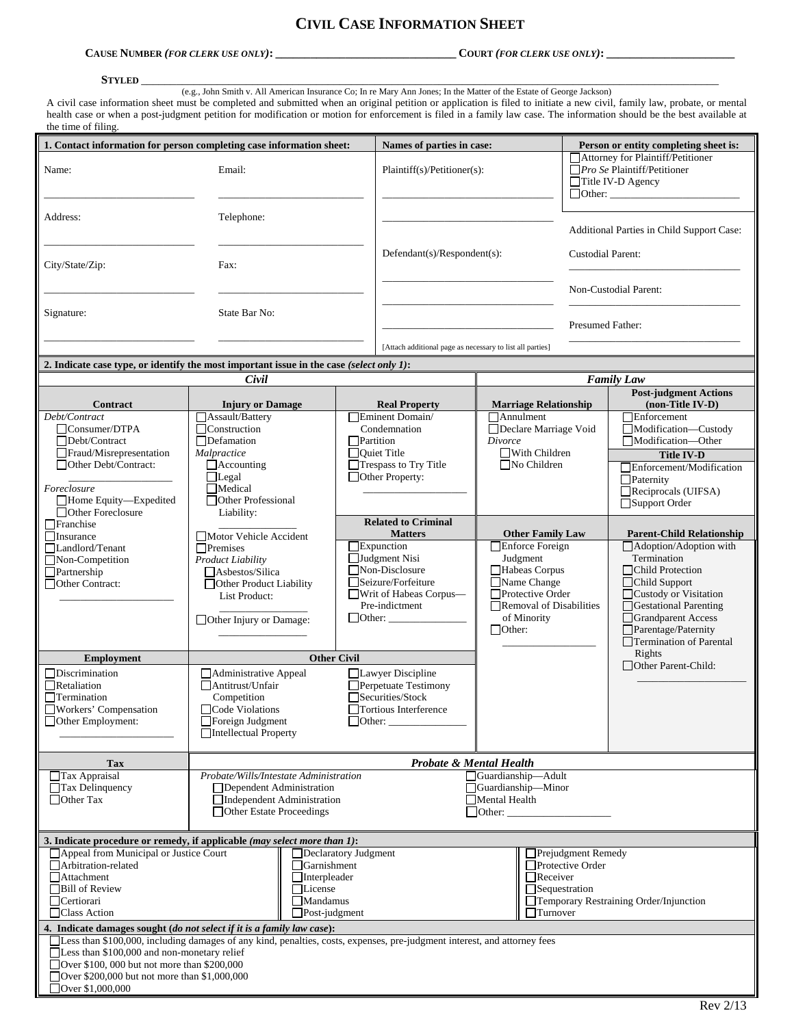# **CIVIL CASE INFORMATION SHEET**

## **CAUSE NUMBER** *(FOR CLERK USE ONLY)***: \_\_\_\_\_\_\_\_\_\_\_\_\_\_\_\_\_\_\_\_\_\_\_\_\_\_\_\_\_\_\_ COURT** *(FOR CLERK USE ONLY)***: \_\_\_\_\_\_\_\_\_\_\_\_\_\_\_\_\_\_\_\_\_\_**

#### **STYLED** \_\_\_\_\_\_\_\_\_\_\_\_\_\_\_\_\_\_\_\_\_\_\_\_\_\_\_\_\_\_\_\_\_\_\_\_\_\_\_\_\_\_\_\_\_\_\_\_\_\_\_\_\_\_\_\_\_\_\_\_\_\_\_\_\_\_\_\_\_\_\_\_\_\_\_\_\_\_\_\_\_\_\_\_\_\_\_\_\_\_\_\_\_\_\_\_\_\_\_

(e.g., John Smith v. All American Insurance Co; In re Mary Ann Jones; In the Matter of the Estate of George Jackson)

A civil case information sheet must be completed and submitted when an original petition or application is filed to initiate a new civil, family law, probate, or mental health case or when a post-judgment petition for modification or motion for enforcement is filed in a family law case. The information should be the best available at the time of filing.

| 1. Contact information for person completing case information sheet:                                                                                                                                  |                                                        |                            | Names of parties in case:                                 |                                           |                                                                                              |                                        | Person or entity completing sheet is:            |  |  |
|-------------------------------------------------------------------------------------------------------------------------------------------------------------------------------------------------------|--------------------------------------------------------|----------------------------|-----------------------------------------------------------|-------------------------------------------|----------------------------------------------------------------------------------------------|----------------------------------------|--------------------------------------------------|--|--|
| Name:                                                                                                                                                                                                 | Email:                                                 |                            | Plaintiff(s)/Petitioner(s):                               |                                           | Attorney for Plaintiff/Petitioner<br>$\Box$ Pro Se Plaintiff/Petitioner<br>Title IV-D Agency |                                        |                                                  |  |  |
| Address:                                                                                                                                                                                              | Telephone:                                             |                            |                                                           |                                           |                                                                                              |                                        |                                                  |  |  |
|                                                                                                                                                                                                       |                                                        |                            |                                                           |                                           |                                                                                              |                                        | Additional Parties in Child Support Case:        |  |  |
| City/State/Zip:                                                                                                                                                                                       | Fax:                                                   |                            | Defendant(s)/Respondent(s):                               |                                           | <b>Custodial Parent:</b>                                                                     |                                        |                                                  |  |  |
|                                                                                                                                                                                                       |                                                        |                            |                                                           | Non-Custodial Parent:<br>Presumed Father: |                                                                                              |                                        |                                                  |  |  |
| Signature:                                                                                                                                                                                            | State Bar No:                                          |                            | [Attach additional page as necessary to list all parties] |                                           |                                                                                              |                                        |                                                  |  |  |
|                                                                                                                                                                                                       |                                                        |                            |                                                           |                                           |                                                                                              |                                        |                                                  |  |  |
| 2. Indicate case type, or identify the most important issue in the case (select only 1):                                                                                                              |                                                        |                            |                                                           |                                           |                                                                                              |                                        |                                                  |  |  |
| Civil                                                                                                                                                                                                 |                                                        |                            |                                                           |                                           | <b>Family Law</b>                                                                            |                                        |                                                  |  |  |
| Contract                                                                                                                                                                                              | <b>Injury or Damage</b>                                |                            | <b>Real Property</b>                                      |                                           | <b>Marriage Relationship</b>                                                                 |                                        | <b>Post-judgment Actions</b><br>(non-Title IV-D) |  |  |
| Debt/Contract                                                                                                                                                                                         | Assault/Battery                                        |                            | Eminent Domain/                                           |                                           | $\Box$ Annulment                                                                             |                                        | $\Box$ Enforcement                               |  |  |
| $\Box$ Consumer/DTPA                                                                                                                                                                                  | $\Box$ Construction                                    |                            | Condemnation                                              |                                           | Declare Marriage Void                                                                        |                                        | Modification-Custody                             |  |  |
| Debt/Contract<br>Fraud/Misrepresentation                                                                                                                                                              | $\Box$ Defamation<br>Malpractice                       |                            | Partition<br>$\Box$ Quiet Title                           |                                           | Divorce<br>With Children                                                                     |                                        | Modification-Other                               |  |  |
| Other Debt/Contract:                                                                                                                                                                                  | $\Box$ Accounting                                      |                            | Trespass to Try Title                                     |                                           | $\n  No Children$                                                                            |                                        | <b>Title IV-D</b><br>Enforcement/Modification    |  |  |
|                                                                                                                                                                                                       | $\Box$ Legal                                           |                            | Other Property:                                           |                                           |                                                                                              |                                        | $\Box$ Paternity                                 |  |  |
| Foreclosure                                                                                                                                                                                           | $\Box$ Medical                                         |                            |                                                           |                                           |                                                                                              |                                        | $\Box$ Reciprocals (UIFSA)                       |  |  |
| Home Equity-Expedited<br>□ Other Foreclosure                                                                                                                                                          | Other Professional                                     |                            |                                                           |                                           |                                                                                              |                                        | Support Order                                    |  |  |
| $\Box$ Franchise                                                                                                                                                                                      | Liability:                                             | <b>Related to Criminal</b> |                                                           |                                           |                                                                                              |                                        |                                                  |  |  |
| $\Box$ Insurance                                                                                                                                                                                      | Motor Vehicle Accident                                 | <b>Matters</b>             |                                                           | <b>Other Family Law</b>                   |                                                                                              |                                        | <b>Parent-Child Relationship</b>                 |  |  |
| Landlord/Tenant                                                                                                                                                                                       | $\Box$ Premises                                        |                            | $\Box$ Expunction                                         |                                           | Enforce Foreign                                                                              |                                        | Adoption/Adoption with                           |  |  |
| $\Box$ Non-Competition                                                                                                                                                                                | <b>Product Liability</b>                               |                            | $\Box$ Judgment Nisi<br>Non-Disclosure                    |                                           | Judgment                                                                                     |                                        | Termination<br>□Child Protection                 |  |  |
| $\Box$ Partnership<br>Other Contract:                                                                                                                                                                 | Asbestos/Silica<br>Other Product Liability             | Seizure/Forfeiture         |                                                           |                                           | Habeas Corpus<br>Name Change<br>$\Box$ Protective Order                                      |                                        | □Child Support                                   |  |  |
|                                                                                                                                                                                                       | List Product:                                          | Writ of Habeas Corpus—     |                                                           |                                           |                                                                                              |                                        | Custody or Visitation                            |  |  |
|                                                                                                                                                                                                       |                                                        |                            | Pre-indictment                                            |                                           | Removal of Disabilities                                                                      |                                        | Gestational Parenting                            |  |  |
|                                                                                                                                                                                                       | $\Box$ Other Injury or Damage:                         |                            | $\Box$ Other: $\Box$                                      | of Minority<br>$\Box$ Other:              |                                                                                              |                                        | Grandparent Access<br>$\Box$ Parentage/Paternity |  |  |
|                                                                                                                                                                                                       |                                                        |                            |                                                           |                                           |                                                                                              | Termination of Parental                |                                                  |  |  |
| <b>Employment</b>                                                                                                                                                                                     | <b>Other Civil</b>                                     |                            |                                                           |                                           |                                                                                              |                                        | Rights                                           |  |  |
| $\Box$ Discrimination                                                                                                                                                                                 | Administrative Appeal                                  |                            | Lawyer Discipline                                         |                                           |                                                                                              |                                        | Other Parent-Child:                              |  |  |
| $\Box$ Retaliation                                                                                                                                                                                    | Antitrust/Unfair                                       |                            | Perpetuate Testimony                                      |                                           |                                                                                              |                                        |                                                  |  |  |
| Termination                                                                                                                                                                                           | Competition                                            |                            | Securities/Stock                                          |                                           |                                                                                              |                                        |                                                  |  |  |
| □Workers' Compensation                                                                                                                                                                                | Code Violations                                        |                            | □Tortious Interference                                    |                                           |                                                                                              |                                        |                                                  |  |  |
| $\Box$ Other Employment:                                                                                                                                                                              | Foreign Judgment<br>Intellectual Property              | $\Box$ Other:              |                                                           |                                           |                                                                                              |                                        |                                                  |  |  |
|                                                                                                                                                                                                       |                                                        |                            |                                                           |                                           |                                                                                              |                                        |                                                  |  |  |
| <b>Tax</b>                                                                                                                                                                                            | Probate & Mental Health                                |                            |                                                           |                                           |                                                                                              |                                        |                                                  |  |  |
| $\Box$ Tax Appraisal                                                                                                                                                                                  | Probate/Wills/Intestate Administration                 |                            |                                                           |                                           | Guardianship-Adult                                                                           |                                        |                                                  |  |  |
| Tax Delinquency<br>$\Box$ Other Tax                                                                                                                                                                   | Dependent Administration<br>Independent Administration |                            | □ Guardianship-Minor<br>Mental Health                     |                                           |                                                                                              |                                        |                                                  |  |  |
|                                                                                                                                                                                                       | □ Other Estate Proceedings                             |                            |                                                           |                                           | $\Box$ Other: $\_\_$                                                                         |                                        |                                                  |  |  |
|                                                                                                                                                                                                       |                                                        |                            |                                                           |                                           |                                                                                              |                                        |                                                  |  |  |
| 3. Indicate procedure or remedy, if applicable (may select more than 1):                                                                                                                              |                                                        |                            |                                                           |                                           |                                                                                              |                                        |                                                  |  |  |
| □ Appeal from Municipal or Justice Court<br>Declaratory Judgment<br>Prejudgment Remedy                                                                                                                |                                                        |                            |                                                           |                                           |                                                                                              |                                        |                                                  |  |  |
| Arbitration-related<br>Attachment                                                                                                                                                                     | Garnishment<br>$\Box$ Interpleader                     |                            |                                                           |                                           | Protective Order<br>$\Box$ Receiver                                                          |                                        |                                                  |  |  |
| Bill of Review                                                                                                                                                                                        | □License                                               |                            |                                                           |                                           | Sequestration                                                                                |                                        |                                                  |  |  |
| Certiorari                                                                                                                                                                                            |                                                        | <b>Mandamus</b>            |                                                           |                                           |                                                                                              | Temporary Restraining Order/Injunction |                                                  |  |  |
| □Class Action                                                                                                                                                                                         | $\Box$ Turnover<br>$\Box$ Post-judgment                |                            |                                                           |                                           |                                                                                              |                                        |                                                  |  |  |
| 4. Indicate damages sought (do not select if it is a family law case):<br>[I Less than \$100,000, including damages of any kind, penalties, costs, expenses, pre-judgment interest, and attorney fees |                                                        |                            |                                                           |                                           |                                                                                              |                                        |                                                  |  |  |
| $\Box$ Less than \$100,000 and non-monetary relief                                                                                                                                                    |                                                        |                            |                                                           |                                           |                                                                                              |                                        |                                                  |  |  |
| Over \$100, 000 but not more than \$200,000                                                                                                                                                           |                                                        |                            |                                                           |                                           |                                                                                              |                                        |                                                  |  |  |
| Over \$200,000 but not more than \$1,000,000                                                                                                                                                          |                                                        |                            |                                                           |                                           |                                                                                              |                                        |                                                  |  |  |
| Over $$1,000,000$                                                                                                                                                                                     |                                                        |                            |                                                           |                                           |                                                                                              |                                        |                                                  |  |  |